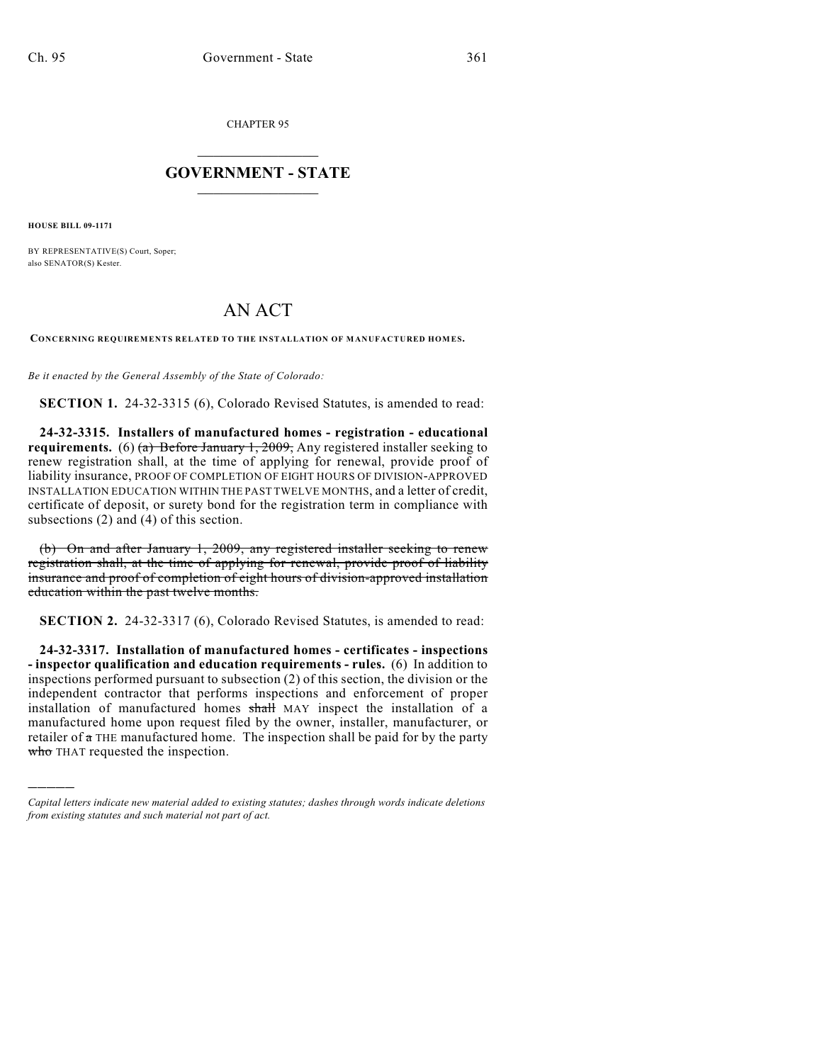CHAPTER 95

## $\mathcal{L}_\text{max}$  . The set of the set of the set of the set of the set of the set of the set of the set of the set of the set of the set of the set of the set of the set of the set of the set of the set of the set of the set **GOVERNMENT - STATE**  $\_$

**HOUSE BILL 09-1171**

)))))

BY REPRESENTATIVE(S) Court, Soper; also SENATOR(S) Kester.

## AN ACT

**CONCERNING REQUIREMENTS RELATED TO THE INSTALLATION OF MANUFACTURED HOM ES.**

*Be it enacted by the General Assembly of the State of Colorado:*

**SECTION 1.** 24-32-3315 (6), Colorado Revised Statutes, is amended to read:

**24-32-3315. Installers of manufactured homes - registration - educational requirements.** (6) (a) Before January 1, 2009, Any registered installer seeking to renew registration shall, at the time of applying for renewal, provide proof of liability insurance, PROOF OF COMPLETION OF EIGHT HOURS OF DIVISION-APPROVED INSTALLATION EDUCATION WITHIN THE PAST TWELVE MONTHS, and a letter of credit, certificate of deposit, or surety bond for the registration term in compliance with subsections (2) and (4) of this section.

(b) On and after January 1, 2009, any registered installer seeking to renew registration shall, at the time of applying for renewal, provide proof of liability insurance and proof of completion of eight hours of division-approved installation education within the past twelve months.

**SECTION 2.** 24-32-3317 (6), Colorado Revised Statutes, is amended to read:

**24-32-3317. Installation of manufactured homes - certificates - inspections - inspector qualification and education requirements - rules.** (6) In addition to inspections performed pursuant to subsection (2) of this section, the division or the independent contractor that performs inspections and enforcement of proper installation of manufactured homes shall MAY inspect the installation of a manufactured home upon request filed by the owner, installer, manufacturer, or retailer of  $\pi$  THE manufactured home. The inspection shall be paid for by the party who THAT requested the inspection.

*Capital letters indicate new material added to existing statutes; dashes through words indicate deletions from existing statutes and such material not part of act.*